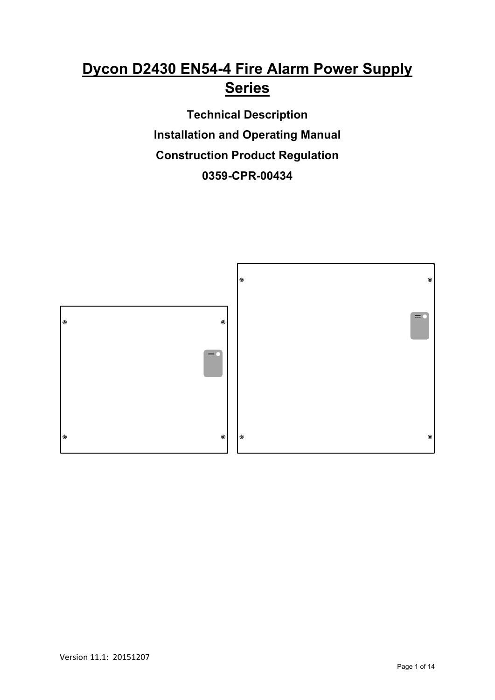# **Dycon D2430 EN54-4 Fire Alarm Power Supply Series**

**Technical Description Installation and Operating Manual Construction Product Regulation 0359-CPR-00434**

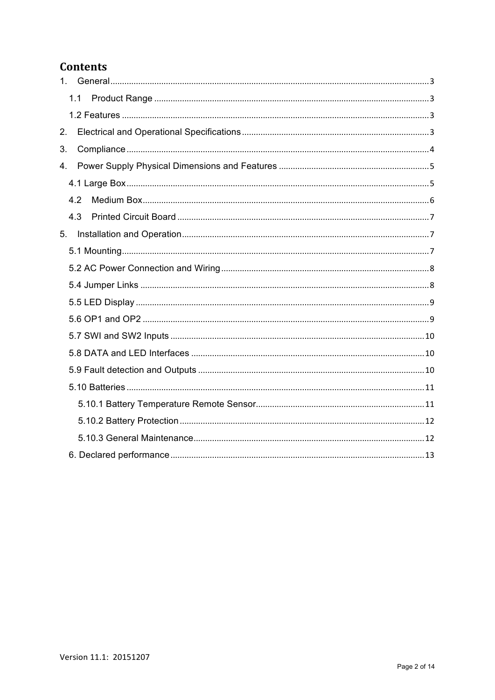#### **Contents**

|    | 1.1 |
|----|-----|
|    |     |
| 2. |     |
| 3. |     |
| 4. |     |
|    |     |
|    | 4.2 |
|    | 4.3 |
| 5. |     |
|    |     |
|    |     |
|    |     |
|    |     |
|    |     |
|    |     |
|    |     |
|    |     |
|    |     |
|    |     |
|    |     |
|    |     |
|    |     |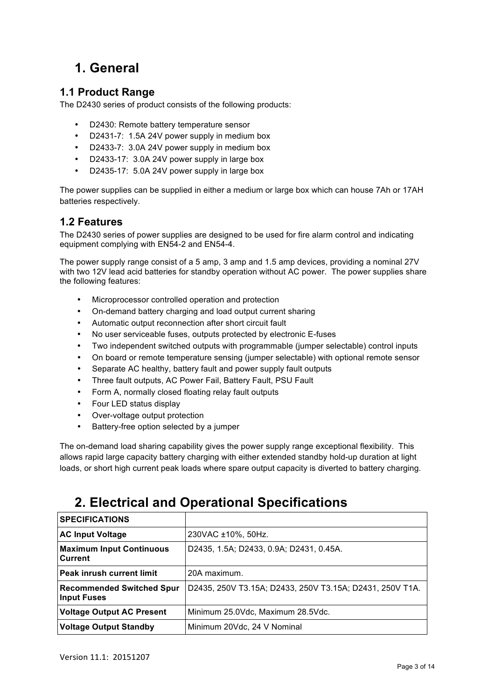# **1. General**

#### **1.1 Product Range**

The D2430 series of product consists of the following products:

- D2430: Remote battery temperature sensor
- D2431-7: 1.5A 24V power supply in medium box
- D2433-7: 3.0A 24V power supply in medium box
- D2433-17: 3.0A 24V power supply in large box
- D2435-17: 5.0A 24V power supply in large box

The power supplies can be supplied in either a medium or large box which can house 7Ah or 17AH batteries respectively.

#### **1.2 Features**

The D2430 series of power supplies are designed to be used for fire alarm control and indicating equipment complying with EN54-2 and EN54-4.

The power supply range consist of a 5 amp, 3 amp and 1.5 amp devices, providing a nominal 27V with two 12V lead acid batteries for standby operation without AC power. The power supplies share the following features:

- Microprocessor controlled operation and protection
- On-demand battery charging and load output current sharing
- Automatic output reconnection after short circuit fault
- No user serviceable fuses, outputs protected by electronic E-fuses
- Two independent switched outputs with programmable (jumper selectable) control inputs
- On board or remote temperature sensing (jumper selectable) with optional remote sensor
- Separate AC healthy, battery fault and power supply fault outputs
- Three fault outputs, AC Power Fail, Battery Fault, PSU Fault
- Form A, normally closed floating relay fault outputs
- Four LED status display
- Over-voltage output protection
- Battery-free option selected by a jumper

The on-demand load sharing capability gives the power supply range exceptional flexibility. This allows rapid large capacity battery charging with either extended standby hold-up duration at light loads, or short high current peak loads where spare output capacity is diverted to battery charging.

# **2. Electrical and Operational Specifications**

| <b>SPECIFICATIONS</b>                                  |                                                          |
|--------------------------------------------------------|----------------------------------------------------------|
| <b>AC Input Voltage</b>                                | 230VAC ±10%, 50Hz.                                       |
| <b>Maximum Input Continuous</b><br>Current             | D2435, 1.5A; D2433, 0.9A; D2431, 0.45A.                  |
| <b>Peak inrush current limit</b>                       | 20A maximum.                                             |
| <b>Recommended Switched Spur</b><br><b>Input Fuses</b> | D2435, 250V T3.15A; D2433, 250V T3.15A; D2431, 250V T1A. |
| <b>Voltage Output AC Present</b>                       | Minimum 25.0Vdc, Maximum 28.5Vdc.                        |
| <b>Voltage Output Standby</b>                          | Minimum 20Vdc, 24 V Nominal                              |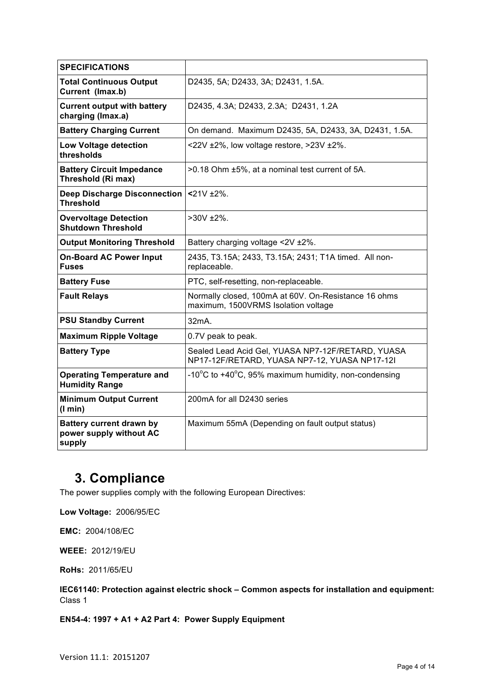| <b>SPECIFICATIONS</b>                                                |                                                                                                    |
|----------------------------------------------------------------------|----------------------------------------------------------------------------------------------------|
| <b>Total Continuous Output</b><br>Current (Imax.b)                   | D2435, 5A; D2433, 3A; D2431, 1.5A.                                                                 |
| <b>Current output with battery</b><br>charging (Imax.a)              | D2435, 4.3A; D2433, 2.3A; D2431, 1.2A                                                              |
| <b>Battery Charging Current</b>                                      | On demand. Maximum D2435, 5A, D2433, 3A, D2431, 1.5A.                                              |
| <b>Low Voltage detection</b><br>thresholds                           | <22V $\pm$ 2%, low voltage restore, >23V $\pm$ 2%.                                                 |
| <b>Battery Circuit Impedance</b><br>Threshold (Ri max)               | >0.18 Ohm ±5%, at a nominal test current of 5A.                                                    |
| Deep Discharge Disconnection<br><b>Threshold</b>                     | $21V + 2\%$ .                                                                                      |
| <b>Overvoltage Detection</b><br><b>Shutdown Threshold</b>            | $>30V$ ±2%.                                                                                        |
| <b>Output Monitoring Threshold</b>                                   | Battery charging voltage <2V ±2%.                                                                  |
| <b>On-Board AC Power Input</b><br><b>Fuses</b>                       | 2435, T3.15A; 2433, T3.15A; 2431; T1A timed. All non-<br>replaceable.                              |
| <b>Battery Fuse</b>                                                  | PTC, self-resetting, non-replaceable.                                                              |
| <b>Fault Relays</b>                                                  | Normally closed, 100mA at 60V. On-Resistance 16 ohms<br>maximum, 1500VRMS Isolation voltage        |
| <b>PSU Standby Current</b>                                           | 32mA                                                                                               |
| <b>Maximum Ripple Voltage</b>                                        | 0.7V peak to peak.                                                                                 |
| <b>Battery Type</b>                                                  | Sealed Lead Acid Gel, YUASA NP7-12F/RETARD, YUASA<br>NP17-12F/RETARD, YUASA NP7-12, YUASA NP17-12I |
| <b>Operating Temperature and</b><br><b>Humidity Range</b>            | -10 $^{\circ}$ C to +40 $^{\circ}$ C, 95% maximum humidity, non-condensing                         |
| <b>Minimum Output Current</b><br>(1 min)                             | 200mA for all D2430 series                                                                         |
| <b>Battery current drawn by</b><br>power supply without AC<br>supply | Maximum 55mA (Depending on fault output status)                                                    |

# **3. Compliance**

The power supplies comply with the following European Directives:

**Low Voltage:** 2006/95/EC

**EMC:** 2004/108/EC

**WEEE:** 2012/19/EU

**RoHs:** 2011/65/EU

**IEC61140: Protection against electric shock – Common aspects for installation and equipment:**  Class 1

**EN54-4: 1997 + A1 + A2 Part 4: Power Supply Equipment**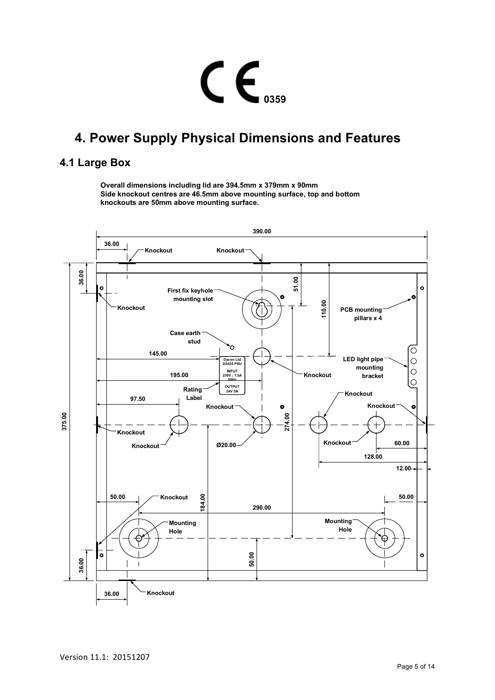# $C \n\epsilon$ <sub>0359</sub>

# **4. Power Supply Physical Dimensions and Features**

#### **4.1 Large Box**

**Overall dimensions including lid are 394.5mm x 379mm x 90mm Side knockout centres are 46.5mm above mounting surface, top and bottom knockouts are 50mm above mounting surface.**

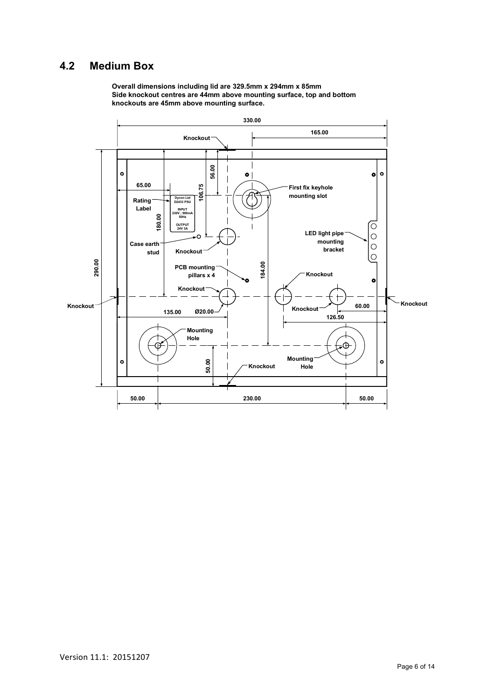#### **4.2 Medium Box**

**Overall dimensions including lid are 329.5mm x 294mm x 85mm Side knockout centres are 44mm above mounting surface, top and bottom knockouts are 45mm above mounting surface.**

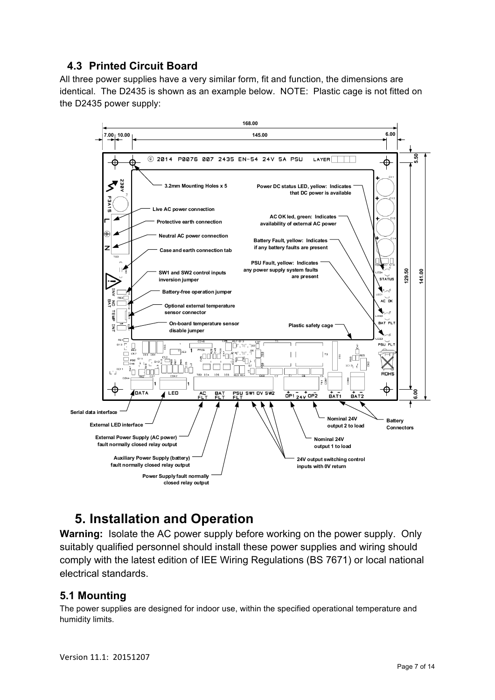#### **4.3 Printed Circuit Board**

All three power supplies have a very similar form, fit and function, the dimensions are identical. The D2435 is shown as an example below. NOTE: Plastic cage is not fitted on the D2435 power supply:



# **5. Installation and Operation**

**Warning:** Isolate the AC power supply before working on the power supply. Only suitably qualified personnel should install these power supplies and wiring should comply with the latest edition of IEE Wiring Regulations (BS 7671) or local national electrical standards.

#### **5.1 Mounting**

The power supplies are designed for indoor use, within the specified operational temperature and humidity limits.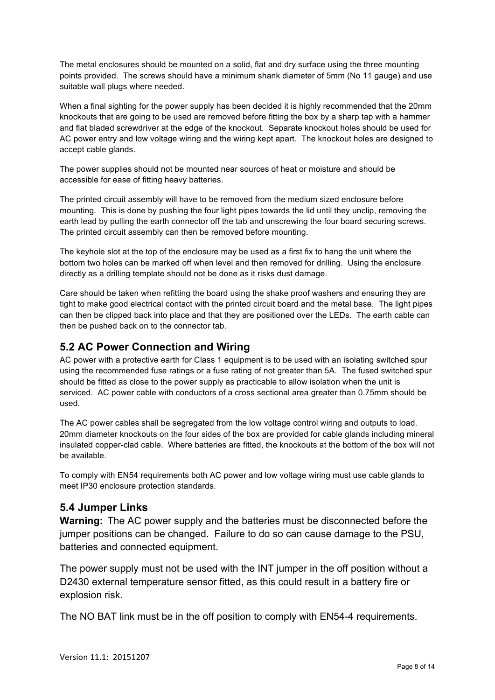The metal enclosures should be mounted on a solid, flat and dry surface using the three mounting points provided. The screws should have a minimum shank diameter of 5mm (No 11 gauge) and use suitable wall plugs where needed.

When a final sighting for the power supply has been decided it is highly recommended that the 20mm knockouts that are going to be used are removed before fitting the box by a sharp tap with a hammer and flat bladed screwdriver at the edge of the knockout. Separate knockout holes should be used for AC power entry and low voltage wiring and the wiring kept apart. The knockout holes are designed to accept cable glands.

The power supplies should not be mounted near sources of heat or moisture and should be accessible for ease of fitting heavy batteries.

The printed circuit assembly will have to be removed from the medium sized enclosure before mounting. This is done by pushing the four light pipes towards the lid until they unclip, removing the earth lead by pulling the earth connector off the tab and unscrewing the four board securing screws. The printed circuit assembly can then be removed before mounting.

The keyhole slot at the top of the enclosure may be used as a first fix to hang the unit where the bottom two holes can be marked off when level and then removed for drilling. Using the enclosure directly as a drilling template should not be done as it risks dust damage.

Care should be taken when refitting the board using the shake proof washers and ensuring they are tight to make good electrical contact with the printed circuit board and the metal base. The light pipes can then be clipped back into place and that they are positioned over the LEDs. The earth cable can then be pushed back on to the connector tab.

#### **5.2 AC Power Connection and Wiring**

AC power with a protective earth for Class 1 equipment is to be used with an isolating switched spur using the recommended fuse ratings or a fuse rating of not greater than 5A. The fused switched spur should be fitted as close to the power supply as practicable to allow isolation when the unit is serviced. AC power cable with conductors of a cross sectional area greater than 0.75mm should be used.

The AC power cables shall be segregated from the low voltage control wiring and outputs to load. 20mm diameter knockouts on the four sides of the box are provided for cable glands including mineral insulated copper-clad cable. Where batteries are fitted, the knockouts at the bottom of the box will not be available.

To comply with EN54 requirements both AC power and low voltage wiring must use cable glands to meet IP30 enclosure protection standards.

#### **5.4 Jumper Links**

**Warning:** The AC power supply and the batteries must be disconnected before the jumper positions can be changed. Failure to do so can cause damage to the PSU, batteries and connected equipment.

The power supply must not be used with the INT jumper in the off position without a D2430 external temperature sensor fitted, as this could result in a battery fire or explosion risk.

The NO BAT link must be in the off position to comply with EN54-4 requirements.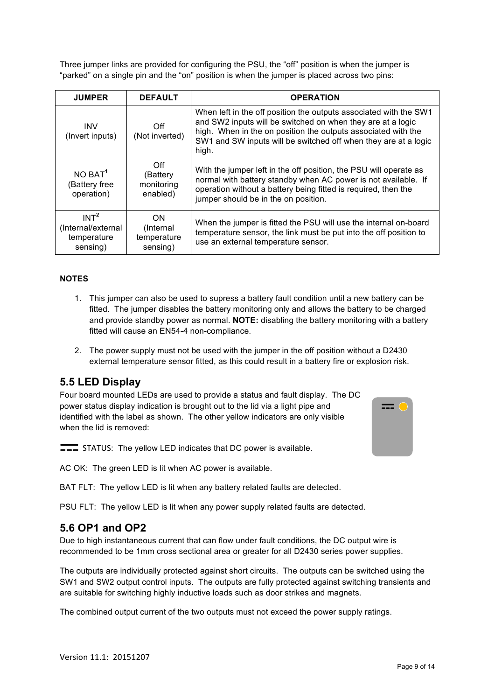Three jumper links are provided for configuring the PSU, the "off" position is when the jumper is "parked" on a single pin and the "on" position is when the jumper is placed across two pins:

| <b>JUMPER</b>                                                     | <b>DEFAULT</b>                               | <b>OPERATION</b>                                                                                                                                                                                                                                                              |
|-------------------------------------------------------------------|----------------------------------------------|-------------------------------------------------------------------------------------------------------------------------------------------------------------------------------------------------------------------------------------------------------------------------------|
| <b>INV</b><br>(Invert inputs)                                     | Off<br>(Not inverted)                        | When left in the off position the outputs associated with the SW1<br>and SW2 inputs will be switched on when they are at a logic<br>high. When in the on position the outputs associated with the<br>SW1 and SW inputs will be switched off when they are at a logic<br>high. |
| $NO$ BAT <sup>1</sup><br>(Battery free<br>operation)              | Off<br>(Battery<br>monitoring<br>enabled)    | With the jumper left in the off position, the PSU will operate as<br>normal with battery standby when AC power is not available. If<br>operation without a battery being fitted is required, then the<br>jumper should be in the on position.                                 |
| INT <sup>2</sup><br>(Internal/external<br>temperature<br>sensing) | ON.<br>(Internal)<br>temperature<br>sensing) | When the jumper is fitted the PSU will use the internal on-board<br>temperature sensor, the link must be put into the off position to<br>use an external temperature sensor.                                                                                                  |

#### **NOTES**

- 1. This jumper can also be used to supress a battery fault condition until a new battery can be fitted. The jumper disables the battery monitoring only and allows the battery to be charged and provide standby power as normal. **NOTE:** disabling the battery monitoring with a battery fitted will cause an EN54-4 non-compliance.
- 2. The power supply must not be used with the jumper in the off position without a D2430 external temperature sensor fitted, as this could result in a battery fire or explosion risk.

#### **5.5 LED Display**

Four board mounted LEDs are used to provide a status and fault display. The DC power status display indication is brought out to the lid via a light pipe and identified with the label as shown. The other yellow indicators are only visible when the lid is removed:



STATUS: The yellow LED indicates that DC power is available.

AC OK: The green LED is lit when AC power is available.

BAT FLT: The yellow LED is lit when any battery related faults are detected.

PSU FLT: The yellow LED is lit when any power supply related faults are detected.

#### **5.6 OP1 and OP2**

Due to high instantaneous current that can flow under fault conditions, the DC output wire is recommended to be 1mm cross sectional area or greater for all D2430 series power supplies.

The outputs are individually protected against short circuits. The outputs can be switched using the SW1 and SW2 output control inputs. The outputs are fully protected against switching transients and are suitable for switching highly inductive loads such as door strikes and magnets.

The combined output current of the two outputs must not exceed the power supply ratings.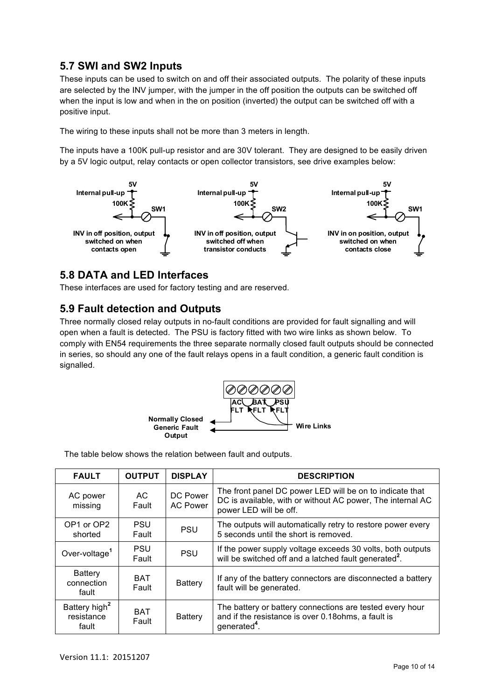#### **5.7 SWI and SW2 Inputs**

These inputs can be used to switch on and off their associated outputs. The polarity of these inputs are selected by the INV jumper, with the jumper in the off position the outputs can be switched off when the input is low and when in the on position (inverted) the output can be switched off with a positive input.

The wiring to these inputs shall not be more than 3 meters in length.

The inputs have a 100K pull-up resistor and are 30V tolerant. They are designed to be easily driven by a 5V logic output, relay contacts or open collector transistors, see drive examples below:



#### **5.8 DATA and LED Interfaces**

These interfaces are used for factory testing and are reserved.

#### **5.9 Fault detection and Outputs**

Three normally closed relay outputs in no-fault conditions are provided for fault signalling and will open when a fault is detected. The PSU is factory fitted with two wire links as shown below. To comply with EN54 requirements the three separate normally closed fault outputs should be connected in series, so should any one of the fault relays opens in a fault condition, a generic fault condition is signalled.



The table below shows the relation between fault and outputs.

| <b>FAULT</b>                                     | <b>OUTPUT</b>       | <b>DISPLAY</b>              | <b>DESCRIPTION</b>                                                                                                                               |
|--------------------------------------------------|---------------------|-----------------------------|--------------------------------------------------------------------------------------------------------------------------------------------------|
| AC power<br>missing                              | AC.<br>Fault        | DC Power<br><b>AC Power</b> | The front panel DC power LED will be on to indicate that<br>DC is available, with or without AC power, The internal AC<br>power LED will be off. |
| OP1 or OP2<br>shorted                            | <b>PSU</b><br>Fault | <b>PSU</b>                  | The outputs will automatically retry to restore power every<br>5 seconds until the short is removed.                                             |
| Over-voltage <sup>1</sup>                        | <b>PSU</b><br>Fault | <b>PSU</b>                  | If the power supply voltage exceeds 30 volts, both outputs<br>will be switched off and a latched fault generated <sup>2</sup> .                  |
| <b>Battery</b><br>connection<br>fault            | <b>BAT</b><br>Fault | <b>Battery</b>              | If any of the battery connectors are disconnected a battery<br>fault will be generated.                                                          |
| Battery high <sup>2</sup><br>resistance<br>fault | <b>BAT</b><br>Fault | <b>Battery</b>              | The battery or battery connections are tested every hour<br>and if the resistance is over 0.18 ohms, a fault is<br>generated <sup>4</sup>        |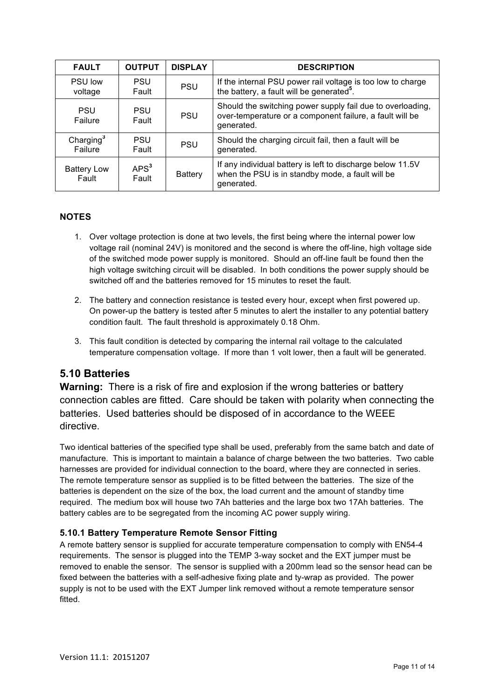| <b>FAULT</b>                | <b>OUTPUT</b>             | <b>DISPLAY</b> | <b>DESCRIPTION</b>                                                                                                                   |
|-----------------------------|---------------------------|----------------|--------------------------------------------------------------------------------------------------------------------------------------|
| <b>PSU low</b><br>voltage   | <b>PSU</b><br>Fault       | <b>PSU</b>     | If the internal PSU power rail voltage is too low to charge<br>the battery, a fault will be generated <sup>5</sup> .                 |
| <b>PSU</b><br>Failure       | <b>PSU</b><br>Fault       | <b>PSU</b>     | Should the switching power supply fail due to overloading,<br>over-temperature or a component failure, a fault will be<br>generated. |
| Charging $3$<br>Failure     | <b>PSU</b><br>Fault       | <b>PSU</b>     | Should the charging circuit fail, then a fault will be<br>generated.                                                                 |
| <b>Battery Low</b><br>Fault | APS <sup>3</sup><br>Fault | Battery        | If any individual battery is left to discharge below 11.5V<br>when the PSU is in standby mode, a fault will be<br>generated.         |

#### **NOTES**

- 1. Over voltage protection is done at two levels, the first being where the internal power low voltage rail (nominal 24V) is monitored and the second is where the off-line, high voltage side of the switched mode power supply is monitored. Should an off-line fault be found then the high voltage switching circuit will be disabled. In both conditions the power supply should be switched off and the batteries removed for 15 minutes to reset the fault.
- 2. The battery and connection resistance is tested every hour, except when first powered up. On power-up the battery is tested after 5 minutes to alert the installer to any potential battery condition fault. The fault threshold is approximately 0.18 Ohm.
- 3. This fault condition is detected by comparing the internal rail voltage to the calculated temperature compensation voltage. If more than 1 volt lower, then a fault will be generated.

#### **5.10 Batteries**

**Warning:** There is a risk of fire and explosion if the wrong batteries or battery connection cables are fitted. Care should be taken with polarity when connecting the batteries. Used batteries should be disposed of in accordance to the WEEE directive.

Two identical batteries of the specified type shall be used, preferably from the same batch and date of manufacture. This is important to maintain a balance of charge between the two batteries. Two cable harnesses are provided for individual connection to the board, where they are connected in series. The remote temperature sensor as supplied is to be fitted between the batteries. The size of the batteries is dependent on the size of the box, the load current and the amount of standby time required. The medium box will house two 7Ah batteries and the large box two 17Ah batteries. The battery cables are to be segregated from the incoming AC power supply wiring.

#### **5.10.1 Battery Temperature Remote Sensor Fitting**

A remote battery sensor is supplied for accurate temperature compensation to comply with EN54-4 requirements. The sensor is plugged into the TEMP 3-way socket and the EXT jumper must be removed to enable the sensor. The sensor is supplied with a 200mm lead so the sensor head can be fixed between the batteries with a self-adhesive fixing plate and ty-wrap as provided. The power supply is not to be used with the EXT Jumper link removed without a remote temperature sensor fitted.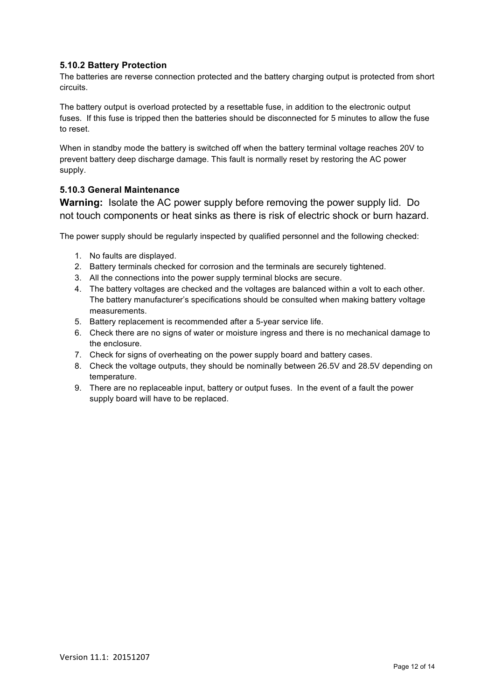#### **5.10.2 Battery Protection**

The batteries are reverse connection protected and the battery charging output is protected from short circuits.

The battery output is overload protected by a resettable fuse, in addition to the electronic output fuses. If this fuse is tripped then the batteries should be disconnected for 5 minutes to allow the fuse to reset.

When in standby mode the battery is switched off when the battery terminal voltage reaches 20V to prevent battery deep discharge damage. This fault is normally reset by restoring the AC power supply.

#### **5.10.3 General Maintenance**

**Warning:** Isolate the AC power supply before removing the power supply lid. Do not touch components or heat sinks as there is risk of electric shock or burn hazard.

The power supply should be regularly inspected by qualified personnel and the following checked:

- 1. No faults are displayed.
- 2. Battery terminals checked for corrosion and the terminals are securely tightened.
- 3. All the connections into the power supply terminal blocks are secure.
- 4. The battery voltages are checked and the voltages are balanced within a volt to each other. The battery manufacturer's specifications should be consulted when making battery voltage measurements.
- 5. Battery replacement is recommended after a 5-year service life.
- 6. Check there are no signs of water or moisture ingress and there is no mechanical damage to the enclosure.
- 7. Check for signs of overheating on the power supply board and battery cases.
- 8. Check the voltage outputs, they should be nominally between 26.5V and 28.5V depending on temperature.
- 9. There are no replaceable input, battery or output fuses. In the event of a fault the power supply board will have to be replaced.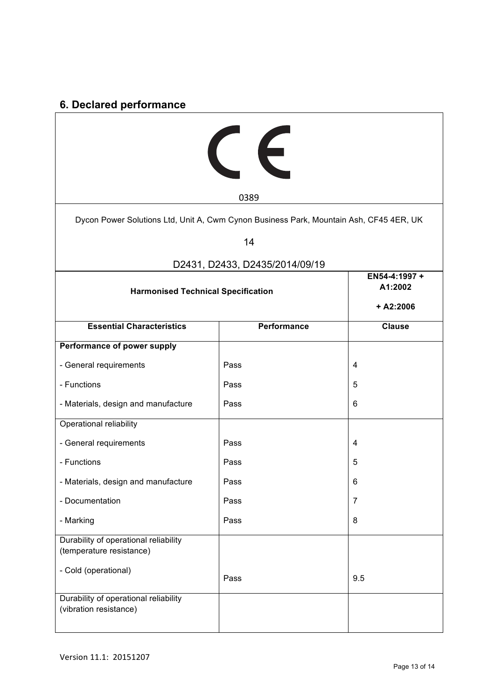# **6. Declared performance**

| CE                                                                                     |                                         |                |  |  |
|----------------------------------------------------------------------------------------|-----------------------------------------|----------------|--|--|
|                                                                                        | 0389                                    |                |  |  |
| Dycon Power Solutions Ltd, Unit A, Cwm Cynon Business Park, Mountain Ash, CF45 4ER, UK |                                         |                |  |  |
|                                                                                        | 14                                      |                |  |  |
|                                                                                        | D2431, D2433, D2435/2014/09/19          |                |  |  |
| <b>Harmonised Technical Specification</b>                                              | EN54-4:1997 +<br>A1:2002<br>$+ A2:2006$ |                |  |  |
| <b>Essential Characteristics</b>                                                       | Performance                             | <b>Clause</b>  |  |  |
| Performance of power supply                                                            |                                         |                |  |  |
| - General requirements                                                                 | Pass                                    | 4              |  |  |
| - Functions                                                                            | Pass                                    | 5              |  |  |
| - Materials, design and manufacture                                                    | Pass                                    | 6              |  |  |
| Operational reliability                                                                |                                         |                |  |  |
| - General requirements                                                                 | Pass                                    | 4              |  |  |
| - Functions                                                                            | Pass                                    | 5              |  |  |
| - Materials, design and manufacture                                                    | Pass                                    | 6              |  |  |
| - Documentation                                                                        | Pass                                    | $\overline{7}$ |  |  |
| - Marking                                                                              | Pass                                    | 8              |  |  |
| Durability of operational reliability<br>(temperature resistance)                      |                                         |                |  |  |
| - Cold (operational)                                                                   | Pass                                    | 9.5            |  |  |
| Durability of operational reliability<br>(vibration resistance)                        |                                         |                |  |  |